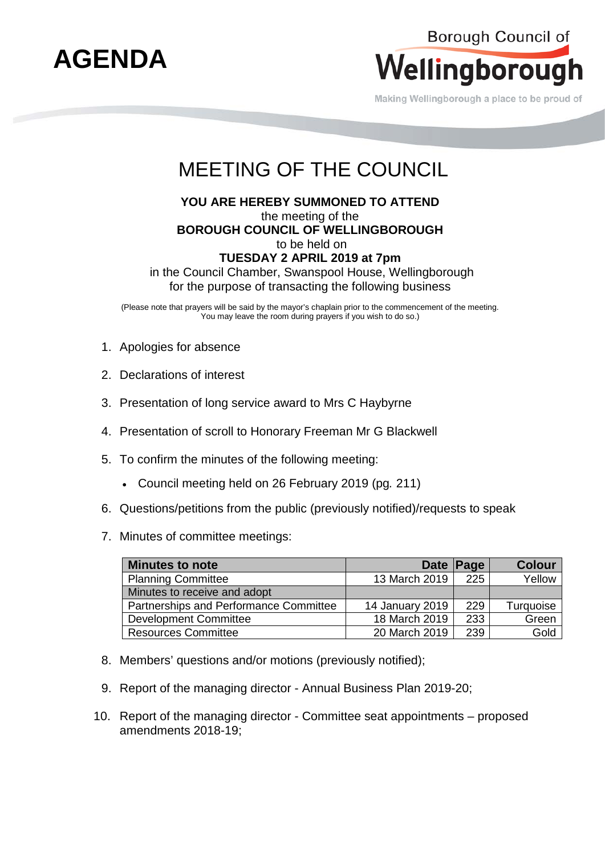

Making Wellingborough a place to be proud of

## MEETING OF THE COUNCIL

## **YOU ARE HEREBY SUMMONED TO ATTEND**  the meeting of the **BOROUGH COUNCIL OF WELLINGBOROUGH** to be held on **TUESDAY 2 APRIL 2019 at 7pm** in the Council Chamber, Swanspool House, Wellingborough

for the purpose of transacting the following business

(Please note that prayers will be said by the mayor's chaplain prior to the commencement of the meeting. You may leave the room during prayers if you wish to do so.)

- 1. Apologies for absence
- 2. Declarations of interest
- 3. Presentation of long service award to Mrs C Haybyrne
- 4. Presentation of scroll to Honorary Freeman Mr G Blackwell
- 5. To confirm the minutes of the following meeting:
	- Council meeting held on 26 February 2019 (pg*.* 211)
- 6. Questions/petitions from the public (previously notified)/requests to speak
- 7. Minutes of committee meetings:

| <b>Minutes to note</b>                 |                 | Date Page | <b>Colour</b> |
|----------------------------------------|-----------------|-----------|---------------|
| <b>Planning Committee</b>              | 13 March 2019   | 225       | Yellow        |
| Minutes to receive and adopt           |                 |           |               |
| Partnerships and Performance Committee | 14 January 2019 | 229       | Turquoise     |
| Development Committee                  | 18 March 2019   | 233       | Green         |
| <b>Resources Committee</b>             | 20 March 2019   | 239       | Gold          |

- 8. Members' questions and/or motions (previously notified);
- 9. Report of the managing director Annual Business Plan 2019-20;
- 10. Report of the managing director Committee seat appointments proposed amendments 2018-19;